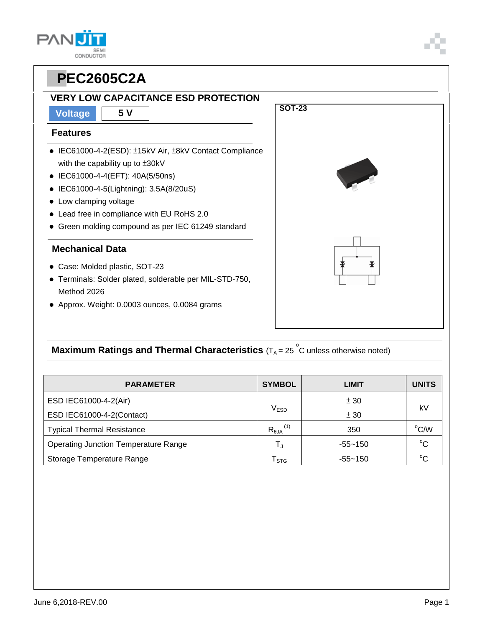### **VERY LOW CAPACITANCE ESD PROTECTION**

**Voltage 5 V**

#### **Features**

- IEC61000-4-2(ESD): ±15kV Air, ±8kV Contact Compliance with the capability up to ±30kV
- IEC61000-4-4(EFT): 40A(5/50ns)
- IEC61000-4-5(Lightning): 3.5A(8/20uS)
- Low clamping voltage
- Lead free in compliance with EU RoHS 2.0
- Green molding compound as per IEC 61249 standard

#### **Mechanical Data**

- Case: Molded plastic, SOT-23
- Terminals: Solder plated, solderable per MIL-STD-750, Method 2026
- Approx. Weight: 0.0003 ounces, 0.0084 grams

### **Maximum Ratings and Thermal Characteristics** (T<sub>A</sub> = 25<sup>°</sup>C unless otherwise noted)

| <b>PARAMETER</b>                            | <b>SYMBOL</b>                  | LIMIT       | <b>UNITS</b> |  |
|---------------------------------------------|--------------------------------|-------------|--------------|--|
| ESD IEC61000-4-2(Air)                       |                                | ± 30        | kV           |  |
| ESD IEC61000-4-2(Contact)                   | $V_{ESD}$                      | ± 30        |              |  |
| <b>Typical Thermal Resistance</b>           | $R_{\theta JA}$ <sup>(1)</sup> | 350         | °C/W         |  |
| <b>Operating Junction Temperature Range</b> |                                | $-55 - 150$ | $^{\circ}$ C |  |
| Storage Temperature Range                   | <b>STG</b>                     | $-55 - 150$ | $^{\circ}C$  |  |





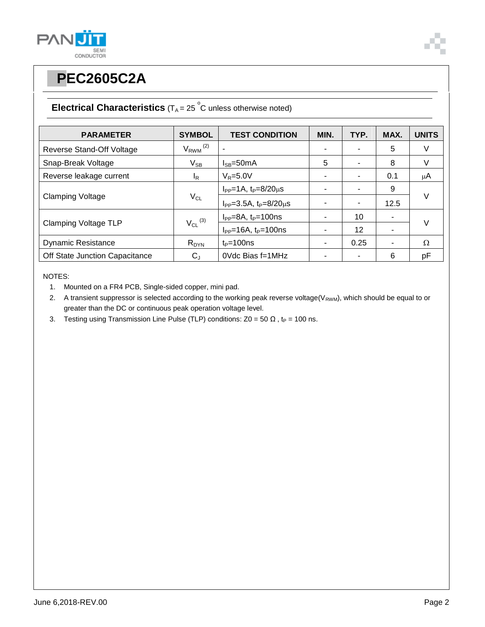



### **Electrical Characteristics**  $(T_A = 25 \degree C$  unless otherwise noted)

| <b>PARAMETER</b>               | <b>SYMBOL</b>            | <b>TEST CONDITION</b>                | MIN. | TYP. | MAX. | <b>UNITS</b> |  |
|--------------------------------|--------------------------|--------------------------------------|------|------|------|--------------|--|
| Reverse Stand-Off Voltage      | $V_{RWM}$ <sup>(2)</sup> |                                      |      |      | 5    | V            |  |
| Snap-Break Voltage             | $V_{SB}$                 | $I_{SB} = 50mA$                      | 5    |      | 8    | $\vee$       |  |
| Reverse leakage current        | I <sub>R</sub>           | $V_R = 5.0V$                         |      |      | 0.1  | $\mu$ A      |  |
| <b>Clamping Voltage</b>        | $V_{CL}$                 | $I_{PP} = 1A$ , $t_P = 8/20 \mu s$   |      |      | 9    |              |  |
|                                |                          | $I_{PP} = 3.5A$ , $t_P = 8/20 \mu s$ |      |      | 12.5 | $\vee$       |  |
| <b>Clamping Voltage TLP</b>    | $V_{CL}$ <sup>(3)</sup>  | $I_{PP} = 8A$ , $t_P = 100$ ns       |      | 10   | ۰    | V            |  |
|                                |                          | $I_{PP}$ =16A, $t_P$ =100ns          |      | 12   |      |              |  |
| <b>Dynamic Resistance</b>      | $R_{DYN}$                | $t_P = 100$ ns                       |      | 0.25 | ۰    | Ω            |  |
| Off State Junction Capacitance | $C_{J}$                  | 0Vdc Bias f=1MHz                     |      |      | 6    | pF           |  |

NOTES:

- 1. Mounted on a FR4 PCB, Single-sided copper, mini pad.
- 2. A transient suppressor is selected according to the working peak reverse voltage( $V_{RWM}$ ), which should be equal to or greater than the DC or continuous peak operation voltage level.
- 3. Testing using Transmission Line Pulse (TLP) conditions:  $Z0 = 50 \Omega$ , t<sub>P</sub> = 100 ns.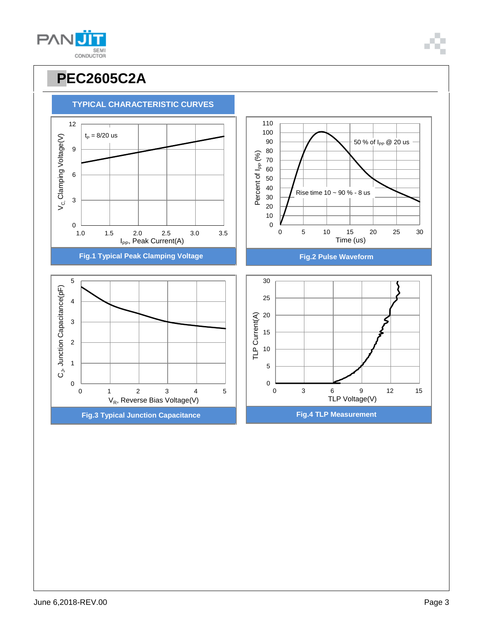

100 110

## **TYPICAL CHARACTERISTIC CURVES**

**PPEC2605C2A**

 $t_P = 8/20$  us

12

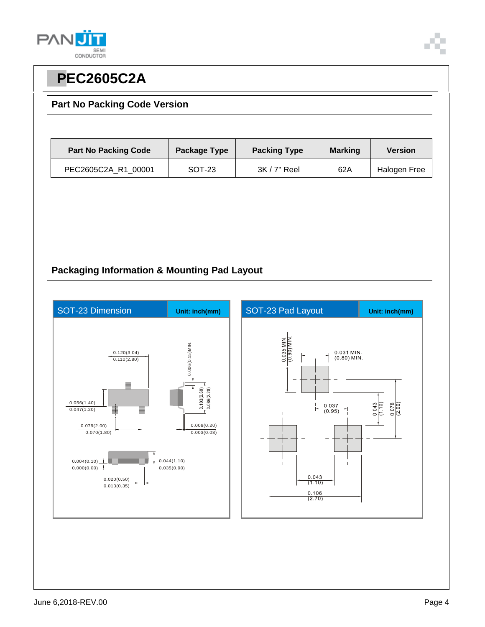



#### **Part No Packing Code Version**

| <b>Part No Packing Code</b> | Package Type | <b>Packing Type</b> | <b>Marking</b> | <b>Version</b> |
|-----------------------------|--------------|---------------------|----------------|----------------|
| PEC2605C2A R1 00001         | SOT-23       | $3K/7"$ Reel        | 62A            | Halogen Free   |

### **Packaging Information & Mounting Pad Layout**